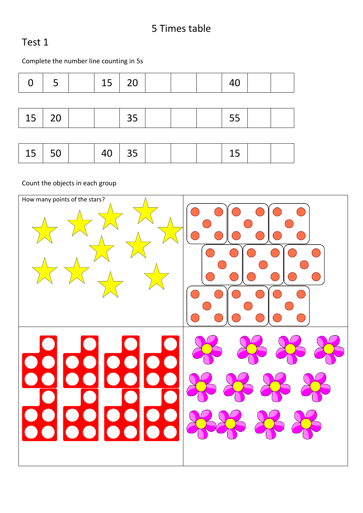### 5 Times table

#### Test 1

Complete the number line counting in 5s

| O          | 5  | 15 | 20 |  | 40 |  |
|------------|----|----|----|--|----|--|
|            |    |    |    |  |    |  |
| $\vert$ 15 | 20 |    | 35 |  | 55 |  |
|            |    |    |    |  |    |  |
| 15 $\vert$ | 50 | 40 | 35 |  | 15 |  |

Count the objects in each group

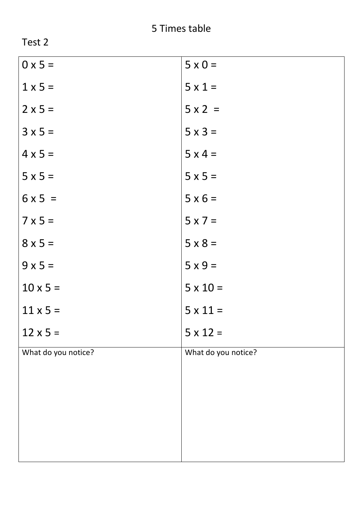| $5 \times 0 =$      |
|---------------------|
| $5 \times 1 =$      |
| $5 \times 2 =$      |
| $5 \times 3 =$      |
| $5 \times 4 =$      |
| $5 \times 5 =$      |
| $5 \times 6 =$      |
| $5 \times 7 =$      |
| $5 \times 8 =$      |
| $5x9=$              |
| $5 \times 10 =$     |
| $5 \times 11 =$     |
| $5 \times 12 =$     |
| What do you notice? |
|                     |
|                     |
|                     |
|                     |
|                     |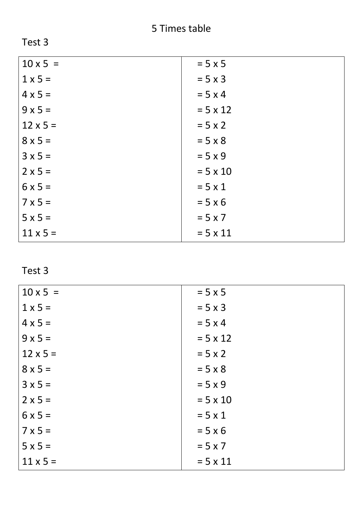| −<br>E.<br>. .<br>в<br>u |  |
|--------------------------|--|
|--------------------------|--|

| $10 \times 5 =$ | $= 5 \times 5$  |
|-----------------|-----------------|
| $1 \times 5 =$  | $= 5 \times 3$  |
| $4 \times 5 =$  | $= 5 \times 4$  |
| $9x5=$          | $= 5 \times 12$ |
| $12 \times 5 =$ | $= 5 \times 2$  |
| $8 \times 5 =$  | $= 5 \times 8$  |
| $3x5=$          | $= 5 \times 9$  |
| $2 \times 5 =$  | $= 5 \times 10$ |
| $6x5=$          | $= 5 \times 1$  |
| $7 \times 5 =$  | $= 5 \times 6$  |
| $5x5=$          | $= 5 \times 7$  |
| $11 \times 5 =$ | $= 5 \times 11$ |

| $10 \times 5 =$ | $= 5 \times 5$  |
|-----------------|-----------------|
| $1 \times 5 =$  | $= 5 \times 3$  |
| $4 \times 5 =$  | $= 5 \times 4$  |
| $9x5=$          | $= 5 \times 12$ |
| $12 \times 5 =$ | $= 5 \times 2$  |
| $8 \times 5 =$  | $= 5 \times 8$  |
| $3 × 5 =$       | $= 5 \times 9$  |
| $2 \times 5 =$  | $= 5 \times 10$ |
| $6x5=$          | $= 5 \times 1$  |
| $7 \times 5 =$  | $= 5 \times 6$  |
| $5x5=$          | $= 5 \times 7$  |
| $11 \times 5 =$ | $= 5 \times 11$ |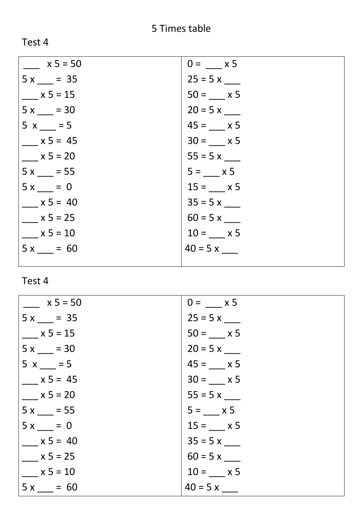| $x 5 = 50$ | $0 = x 5$      |
|------------|----------------|
| $5x = 35$  | $25 = 5x$ ____ |
| $x 5 = 15$ | $50 = x 5$     |
| $5x = 30$  | $20 = 5 x$     |
| $5x = 5$   | $45 = x 5$     |
| $x 5 = 45$ | $30 = x 5$     |
| $x 5 = 20$ | $55 = 5x$      |
| $5x = 55$  | $5 = 82$       |
| $5x = 0$   | $15 = x 5$     |
| $x 5 = 40$ | $35 = 5x$ ____ |
| $x 5 = 25$ | $60 = 5 x$     |
| $x 5 = 10$ | $10 = x 5$     |
| $5x = 60$  | $40 = 5 x$     |
|            |                |

| $x 5 = 50$ | $0 = x 5$  |
|------------|------------|
| $5x = 35$  | $25 = 5x$  |
| $x 5 = 15$ | $50 = x 5$ |
| $5x = 30$  | $20 = 5 x$ |
| $5x = 5$   | $45 = x 5$ |
| $x 5 = 45$ | $30 = x 5$ |
| $x 5 = 20$ | $55 = 5x$  |
| $5x = 55$  | $5 = x 5$  |
| $5x = 0$   | $15 = x 5$ |
| $x 5 = 40$ | $35 = 5x$  |
| $x 5 = 25$ | $60 = 5 x$ |
| $x 5 = 10$ | $10 = x 5$ |
| $5x = 60$  | $40 = 5 x$ |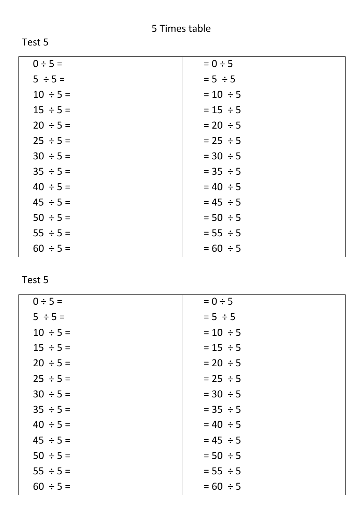| $0 \div 5 =$  | $= 0 \div 5$  |
|---------------|---------------|
| $5 \div 5 =$  | $= 5 \div 5$  |
| $10 \div 5 =$ | $= 10 \div 5$ |
| $15 \div 5 =$ | $= 15 \div 5$ |
| $20 \div 5 =$ | $= 20 \div 5$ |
| $25 \div 5 =$ | $= 25 \div 5$ |
| $30 \div 5 =$ | $= 30 \div 5$ |
| $35 \div 5 =$ | $= 35 \div 5$ |
| $40 \div 5 =$ | $= 40 \div 5$ |
| $45 \div 5 =$ | $= 45 \div 5$ |
| $50 \div 5 =$ | $= 50 \div 5$ |
| $55 \div 5 =$ | $= 55 \div 5$ |
| $60 \div 5 =$ | $= 60 \div 5$ |
|               |               |

| $0 \div 5 =$  | $= 0 \div 5$  |
|---------------|---------------|
| $5 \div 5 =$  | $= 5 \div 5$  |
| $10 \div 5 =$ | $= 10 \div 5$ |
| $15 \div 5 =$ | $= 15 \div 5$ |
| $20 \div 5 =$ | $= 20 \div 5$ |
| $25 \div 5 =$ | $= 25 \div 5$ |
| $30 \div 5 =$ | $= 30 \div 5$ |
| $35 \div 5 =$ | $= 35 \div 5$ |
| $40 \div 5 =$ | $= 40 \div 5$ |
| $45 \div 5 =$ | $= 45 \div 5$ |
| $50 \div 5 =$ | $= 50 \div 5$ |
| $55 \div 5 =$ | $= 55 \div 5$ |
| $60 \div 5 =$ | $= 60 \div 5$ |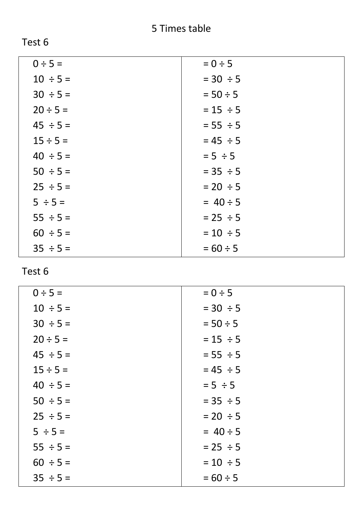| n<br>. .<br>T.<br>۱ |  |
|---------------------|--|
|---------------------|--|

| $0 \div 5 =$<br>$= 0 \div 5$<br>$10 \div 5 =$<br>$= 30 \div 5$ |  |
|----------------------------------------------------------------|--|
|                                                                |  |
|                                                                |  |
| $30 \div 5 =$<br>$= 50 \div 5$                                 |  |
| $20 \div 5 =$<br>$= 15 \div 5$                                 |  |
| $45 \div 5 =$<br>$= 55 \div 5$                                 |  |
| $= 45 \div 5$<br>$15 \div 5 =$                                 |  |
| $40 \div 5 =$<br>$= 5 \div 5$                                  |  |
| $50 \div 5 =$<br>$= 35 \div 5$                                 |  |
| $25 \div 5 =$<br>$= 20 \div 5$                                 |  |
| $= 40 \div 5$<br>$5 \div 5 =$                                  |  |
| $55 \div 5 =$<br>$= 25 \div 5$                                 |  |
| $60 \div 5 =$<br>$= 10 \div 5$                                 |  |
| $= 60 \div 5$<br>$35 \div 5 =$                                 |  |

| $0 \div 5 =$  | $= 0 \div 5$  |
|---------------|---------------|
| $10 \div 5 =$ | $= 30 \div 5$ |
| $30 \div 5 =$ | $= 50 \div 5$ |
| $20 \div 5 =$ | $= 15 \div 5$ |
| $45 \div 5 =$ | $= 55 \div 5$ |
| $15 \div 5 =$ | $= 45 \div 5$ |
| $40 \div 5 =$ | $= 5 \div 5$  |
| $50 \div 5 =$ | $= 35 \div 5$ |
| $25 \div 5 =$ | $= 20 \div 5$ |
| $5 \div 5 =$  | $= 40 \div 5$ |
| $55 \div 5 =$ | $= 25 \div 5$ |
| $60 \div 5 =$ | $= 10 \div 5$ |
| $35 \div 5 =$ | $= 60 \div 5$ |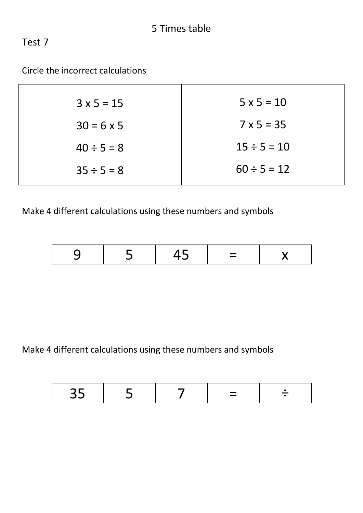### Circle the incorrect calculations

| $3 \times 5 = 15$ | $5 \times 5 = 10$ |
|-------------------|-------------------|
| $30 = 6 \times 5$ | $7 \times 5 = 35$ |
| $40 \div 5 = 8$   | $15 \div 5 = 10$  |
| $35 \div 5 = 8$   | $60 \div 5 = 12$  |

Make 4 different calculations using these numbers and symbols

| ___<br>$\overline{\phantom{a}}$ |
|---------------------------------|
|---------------------------------|

Make 4 different calculations using these numbers and symbols

| <i>- -</i> |  |  | _<br>_ |  |
|------------|--|--|--------|--|
|------------|--|--|--------|--|